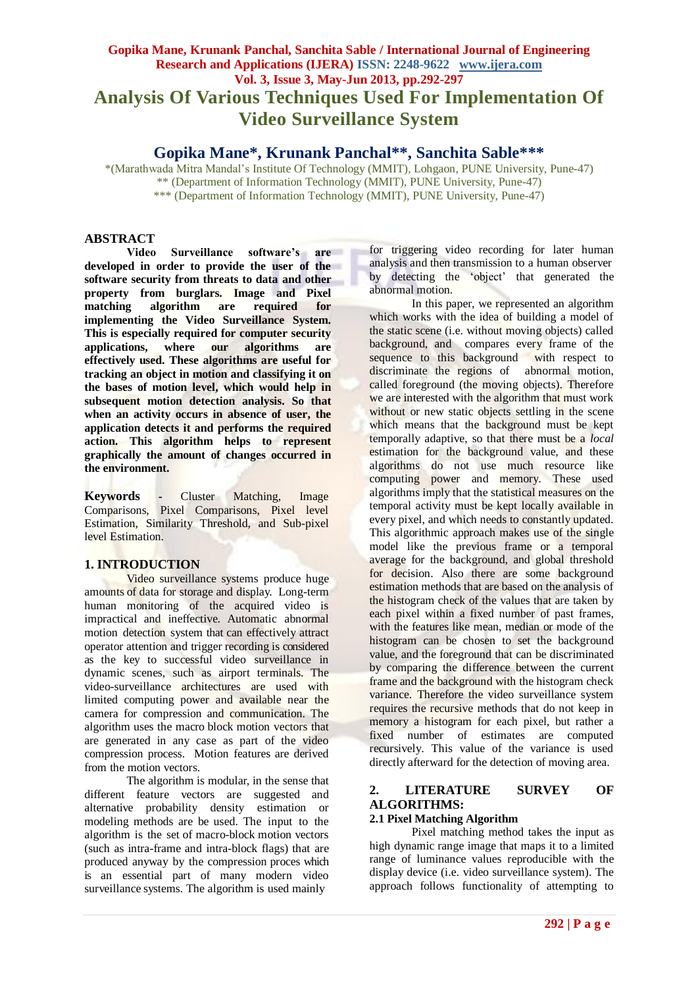# **Gopika Mane, Krunank Panchal, Sanchita Sable / International Journal of Engineering Research and Applications (IJERA) ISSN: 2248-9622 www.ijera.com Vol. 3, Issue 3, May-Jun 2013, pp.292-297 Analysis Of Various Techniques Used For Implementation Of Video Surveillance System**

# **Gopika Mane\*, Krunank Panchal\*\*, Sanchita Sable\*\*\***

\*(Marathwada Mitra Mandal"s Institute Of Technology (MMIT), Lohgaon, PUNE University, Pune-47) \*\* (Department of Information Technology (MMIT), PUNE University, Pune-47) \*\*\* (Department of Information Technology (MMIT), PUNE University, Pune-47)

# **ABSTRACT**

**Video Surveillance software's are developed in order to provide the user of the software security from threats to data and other property from burglars. Image and Pixel matching algorithm are required for implementing the Video Surveillance System. This is especially required for computer security applications, where our algorithms are effectively used. These algorithms are useful for tracking an object in motion and classifying it on the bases of motion level, which would help in subsequent motion detection analysis. So that when an activity occurs in absence of user, the application detects it and performs the required action. This algorithm helps to represent graphically the amount of changes occurred in the environment.**

**Keywords -** Cluster Matching, Image Comparisons, Pixel Comparisons, Pixel level Estimation, Similarity Threshold, and Sub-pixel level Estimation.

### **1. INTRODUCTION**

Video surveillance systems produce huge amounts of data for storage and display. Long-term human monitoring of the acquired video is impractical and ineffective. Automatic abnormal motion detection system that can effectively attract operator attention and trigger recording is considered as the key to successful video surveillance in dynamic scenes, such as airport terminals. The video-surveillance architectures are used with limited computing power and available near the camera for compression and communication. The algorithm uses the macro block motion vectors that are generated in any case as part of the video compression process. Motion features are derived from the motion vectors.

The algorithm is modular, in the sense that different feature vectors are suggested and alternative probability density estimation or modeling methods are be used. The input to the algorithm is the set of macro-block motion vectors (such as intra-frame and intra-block flags) that are produced anyway by the compression proces which is an essential part of many modern video surveillance systems. The algorithm is used mainly

for triggering video recording for later human analysis and then transmission to a human observer by detecting the "object" that generated the abnormal motion.

In this paper, we represented an algorithm which works with the idea of building a model of the static scene (i.e. without moving objects) called background, and compares every frame of the sequence to this background with respect to discriminate the regions of abnormal motion, called foreground (the moving objects). Therefore we are interested with the algorithm that must work without or new static objects settling in the scene which means that the background must be kept temporally adaptive, so that there must be a *local*  estimation for the background value, and these algorithms do not use much resource like computing power and memory. These used algorithms imply that the statistical measures on the temporal activity must be kept locally available in every pixel, and which needs to constantly updated. This algorithmic approach makes use of the single model like the previous frame or a temporal average for the background, and global threshold for decision. Also there are some background estimation methods that are based on the analysis of the histogram check of the values that are taken by each pixel within a fixed number of past frames, with the features like mean, median or mode of the histogram can be chosen to set the background value, and the foreground that can be discriminated by comparing the difference between the current frame and the background with the histogram check variance. Therefore the video surveillance system requires the recursive methods that do not keep in memory a histogram for each pixel, but rather a fixed number of estimates are computed recursively. This value of the variance is used directly afterward for the detection of moving area.

# **2. LITERATURE SURVEY OF ALGORITHMS:**

### **2.1 Pixel Matching Algorithm**

Pixel matching method takes the input as high dynamic range image that maps it to a limited range of luminance values reproducible with the display device (i.e. video surveillance system). The approach follows functionality of attempting to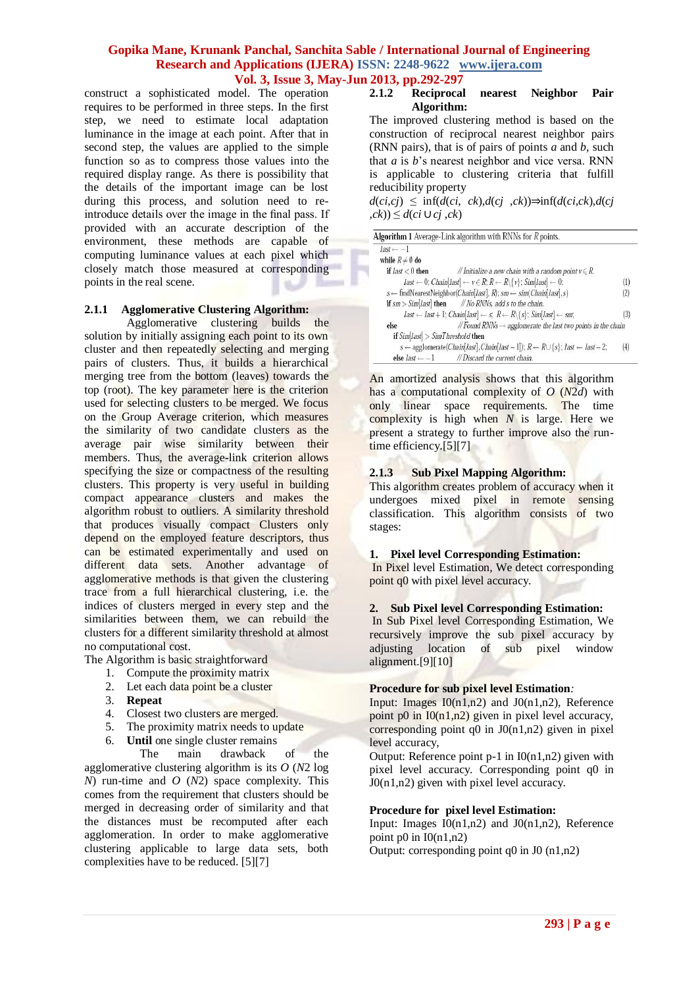construct a sophisticated model. The operation requires to be performed in three steps. In the first step, we need to estimate local adaptation luminance in the image at each point. After that in second step, the values are applied to the simple function so as to compress those values into the required display range. As there is possibility that the details of the important image can be lost during this process, and solution need to reintroduce details over the image in the final pass. If provided with an accurate description of the environment, these methods are capable of computing luminance values at each pixel which closely match those measured at corresponding points in the real scene.

### **2.1.1 Agglomerative Clustering Algorithm:**

Agglomerative clustering builds the solution by initially assigning each point to its own cluster and then repeatedly selecting and merging pairs of clusters. Thus, it builds a hierarchical merging tree from the bottom (leaves) towards the top (root). The key parameter here is the criterion used for selecting clusters to be merged. We focus on the Group Average criterion, which measures the similarity of two candidate clusters as the average pair wise similarity between their members. Thus, the average-link criterion allows specifying the size or compactness of the resulting clusters. This property is very useful in building compact appearance clusters and makes the algorithm robust to outliers. A similarity threshold that produces visually compact Clusters only depend on the employed feature descriptors, thus can be estimated experimentally and used on different data sets. Another advantage of agglomerative methods is that given the clustering trace from a full hierarchical clustering, i.e. the indices of clusters merged in every step and the similarities between them, we can rebuild the clusters for a different similarity threshold at almost no computational cost.

The Algorithm is basic straightforward

- 1. Compute the proximity matrix
- 2. Let each data point be a cluster
- 3. **Repeat**
- 4. Closest two clusters are merged.
- 5. The proximity matrix needs to update
- 6. **Until** one single cluster remains

 The main drawback of the agglomerative clustering algorithm is its *O* (*N*2 log *N*) run-time and *O* (*N*2) space complexity. This comes from the requirement that clusters should be merged in decreasing order of similarity and that the distances must be recomputed after each agglomeration. In order to make agglomerative clustering applicable to large data sets, both complexities have to be reduced. [5][7]

#### **2.1.2 Reciprocal nearest Neighbor Pair Algorithm:**

The improved clustering method is based on the construction of reciprocal nearest neighbor pairs (RNN pairs), that is of pairs of points *a* and *b*, such that *a* is *b*"s nearest neighbor and vice versa. RNN is applicable to clustering criteria that fulfill reducibility property

*d*(*ci*,*cj*) ≤ inf(*d*(*ci*, *ck*),*d*(*cj* ,*ck*))⇒inf(*d*(*ci*,*ck*),*d*(*cj*  ,*ck*)) ≤ *d*(*ci* ∪*cj* ,*ck*)

| $last \leftarrow -1$                                                                                     |                                                                                                                                                                     |     |
|----------------------------------------------------------------------------------------------------------|---------------------------------------------------------------------------------------------------------------------------------------------------------------------|-----|
| while $R \neq \emptyset$ do                                                                              |                                                                                                                                                                     |     |
| if $last < 0$ then                                                                                       | // Initialize a new chain with a random point $v \in R$ .                                                                                                           |     |
|                                                                                                          | $last \leftarrow 0$ ; Chain[last] $\leftarrow v \in R$ ; $R \leftarrow R \setminus \{v\}$ ; Sim[last] $\leftarrow 0$ ;                                              | (1) |
| $s \leftarrow$ findNearestNeighbor( <i>Chain[last]</i> , <i>R</i> ); $sm \leftarrow sim(Chain last , s)$ |                                                                                                                                                                     | (2) |
|                                                                                                          | if $sm > Sim[last]$ then $\qquad$ // No RNNs, add s to the chain.                                                                                                   |     |
|                                                                                                          | $last \leftarrow last + 1$ ; $Chain[last] \leftarrow s$ ; $R \leftarrow R \setminus \{s\}$ ; $Sim[last] \leftarrow sm$ ;                                            | (3) |
| else                                                                                                     | // Found RNNs $\rightarrow$ agglomerate the last two points in the chain                                                                                            |     |
| if $Sim[last] > SimThreshold$ then                                                                       |                                                                                                                                                                     |     |
|                                                                                                          | $s \leftarrow$ agglomerate( <i>Chain</i> [ <i>last</i> ], <i>Chain</i> [ <i>last</i> - 1]); $R \leftarrow R \cup \{s\}$ ; <i>last</i> $\leftarrow$ <i>last</i> - 2; | (4) |
| else <i>last</i> $\leftarrow -1$                                                                         | //Discard the current chain.                                                                                                                                        |     |

An amortized analysis shows that this algorithm has a computational complexity of *O* (*N*2*d*) with only linear space requirements. The time complexity is high when *N* is large. Here we present a strategy to further improve also the runtime efficiency.[5][7]

#### **2.1.3 Sub Pixel Mapping Algorithm:**

This algorithm creates problem of accuracy when it undergoes mixed pixel in remote sensing classification. This algorithm consists of two stages:

#### **1. Pixel level Corresponding Estimation:**

In Pixel level Estimation, We detect corresponding point q0 with pixel level accuracy.

### **2. Sub Pixel level Corresponding Estimation:**

In Sub Pixel level Corresponding Estimation, We recursively improve the sub pixel accuracy by adjusting location of sub pixel window alignment.[9][10]

#### **Procedure for sub pixel level Estimation***:*

Input: Images  $I0(n1,n2)$  and  $J0(n1,n2)$ , Reference point p0 in  $I0(n1,n2)$  given in pixel level accuracy, corresponding point  $q0$  in  $J0(n1,n2)$  given in pixel level accuracy,

Output: Reference point  $p-1$  in  $I(0(n1,n^2))$  given with pixel level accuracy. Corresponding point q0 in J0(n1,n2) given with pixel level accuracy.

#### **Procedure for pixel level Estimation:**

Input: Images  $I_0(n1,n2)$  and  $J_0(n1,n2)$ , Reference point  $p0$  in  $I0(n1, n2)$ Output: corresponding point q0 in J0 (n1,n2)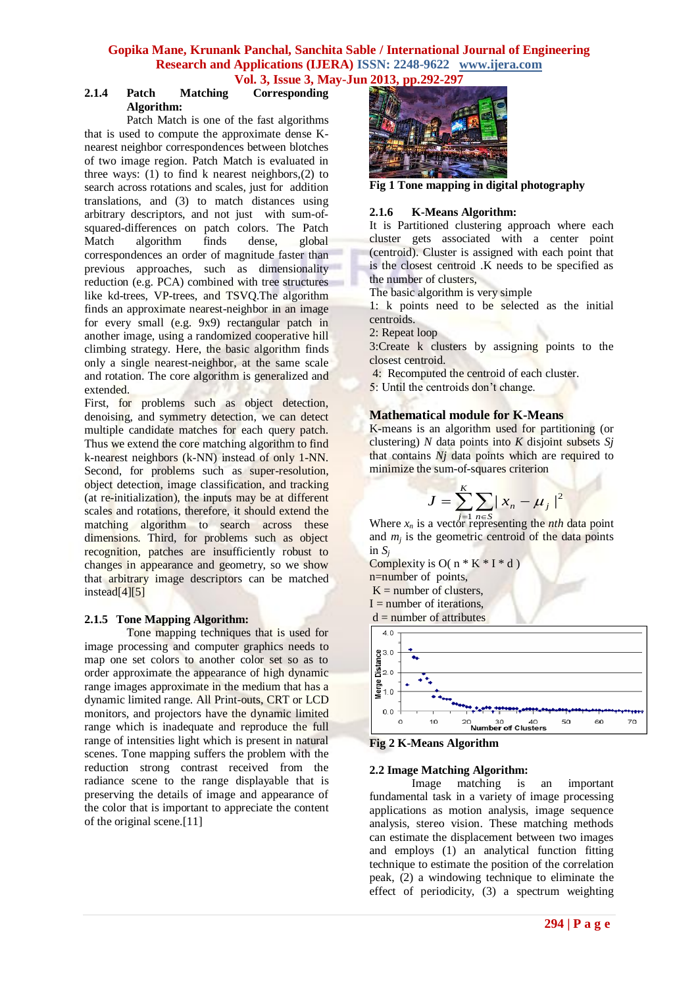#### **2.1.4 Patch Matching Corresponding Algorithm:**

Patch Match is one of the fast algorithms that is used to compute the approximate dense Knearest neighbor correspondences between blotches of two image region. Patch Match is evaluated in three ways: (1) to find k nearest neighbors,  $(2)$  to search across rotations and scales, just for addition translations, and (3) to match distances using arbitrary descriptors, and not just with sum-ofsquared-differences on patch colors. The Patch Match algorithm finds dense, global correspondences an order of magnitude faster than previous approaches, such as dimensionality reduction (e.g. PCA) combined with tree structures like kd-trees, VP-trees, and TSVQ.The algorithm finds an approximate nearest-neighbor in an image for every small (e.g. 9x9) rectangular patch in another image, using a randomized cooperative hill climbing strategy. Here, the basic algorithm finds only a single nearest-neighbor, at the same scale and rotation. The core algorithm is generalized and extended.

First, for problems such as object detection, denoising, and symmetry detection, we can detect multiple candidate matches for each query patch. Thus we extend the core matching algorithm to find k-nearest neighbors (k-NN) instead of only 1-NN. Second, for problems such as super-resolution, object detection, image classification, and tracking (at re-initialization), the inputs may be at different scales and rotations, therefore, it should extend the matching algorithm to search across these dimensions. Third, for problems such as object recognition, patches are insufficiently robust to changes in appearance and geometry, so we show that arbitrary image descriptors can be matched instead[4][5]

### **2.1.5 Tone Mapping Algorithm:**

Tone mapping techniques that is used for [image processing](http://en.wikipedia.org/wiki/Image_processing) and [computer graphics](http://en.wikipedia.org/wiki/Computer_graphics) needs to map one set colors to another color set so as to order approximate the appearance of [high dynamic](http://en.wikipedia.org/wiki/High_dynamic_range_image)  [range images](http://en.wikipedia.org/wiki/High_dynamic_range_image) approximate in the medium that has a dynamic limited range. Al[l Print-outs,](http://en.wikipedia.org/wiki/Print-out) [CRT](http://en.wikipedia.org/wiki/Cathode_ray_tube) or [LCD](http://en.wikipedia.org/wiki/LCD) monitors, and projectors have the dynamic limited range which is inadequate and reproduce the full range of intensities light which is present in natural scenes. Tone mapping suffers the problem with the reduction strong contrast received from the [radiance](http://en.wikipedia.org/wiki/Radiance) scene to the range displayable that is preserving the details of image and appearance of the color that is important to appreciate the content of the original scene.[11]



**Fig 1 Tone mapping in digital photography**

#### **2.1.6 K-Means Algorithm:**

It is Partitioned clustering approach where each cluster gets associated with a center point (centroid). Cluster is assigned with each point that is the closest centroid .K needs to be specified as the number of clusters,

The basic algorithm is very simple

1: k points need to be selected as the initial centroids.

2: Repeat loop

3:Create k clusters by assigning points to the closest centroid.

- 4: Recomputed the centroid of each cluster.
- 5: Until the centroids don"t change.

### **Mathematical module for K-Means**

K-means is an algorithm used for partitioning (or clustering) *N* data points into *K* disjoint subsets *Sj* that contains *Nj* data points which are required to minimize the sum-of-squares criterion

$$
J = \sum_{i=1}^{K} \sum_{n \in S} |x_n - \mu_j|^2
$$

Where  $x_n$  is a vector representing the *nth* data point and  $m_j$  is the geometric centroid of the data points in  $S_i$ 

Complexity is  $O(n * K * I * d)$ n=number of points,  $K =$  number of clusters,  $I =$  number of iterations,

 $d =$  number of attributes



**Fig 2 K-Means Algorithm**

#### **2.2 Image Matching Algorithm:**

Image matching is an important fundamental task in a variety of image processing applications as motion analysis, image sequence analysis, stereo vision. These matching methods can estimate the displacement between two images and employs (1) an analytical function fitting technique to estimate the position of the correlation peak, (2) a windowing technique to eliminate the effect of periodicity, (3) a spectrum weighting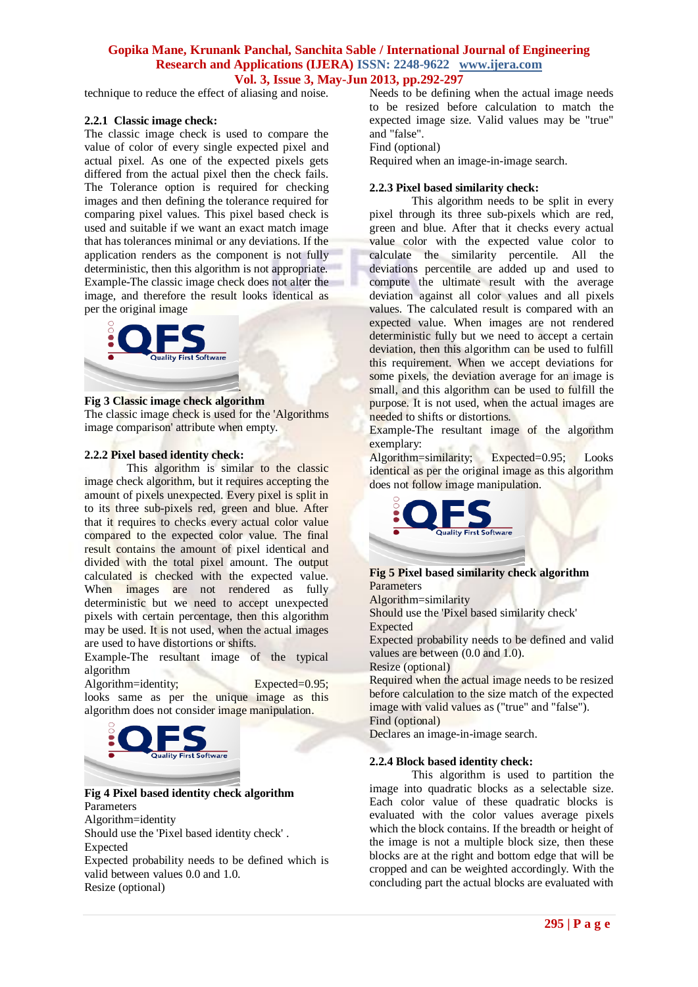technique to reduce the effect of aliasing and noise.

#### **2.2.1 Classic image check:**

The classic image check is used to compare the value of color of every single expected pixel and actual pixel. As one of the expected pixels gets differed from the actual pixel then the check fails. The Tolerance option is required for checking [images](http://www.qfs.de/qftest/manual/en/opt_play.html#opt_imagefuzz) and then defining the tolerance required for comparing pixel values. This pixel based check is used and suitable if we want an exact match image that has tolerances minimal or any deviations. If the application renders as the component is not fully deterministic, then this algorithm is not appropriate. Example-The classic image check does not alter the image, and therefore the result looks identical as per the original image



#### **Fig 3 Classic image check algorithm**

The classic image check is used for the ['Algorithms](http://www.qfs.de/qftest/manual/en/checks.html#att_CheckImageStep_algorithm)  [image comparison'](http://www.qfs.de/qftest/manual/en/checks.html#att_CheckImageStep_algorithm) attribute when empty.

#### **2.2.2 Pixel based identity check:**

This algorithm is similar to the classic image check algorithm, but it requires accepting the amount of pixels unexpected. Every pixel is split in to its three sub-pixels red, green and blue. After that it requires to checks every actual color value compared to the expected color value. The final result contains the amount of pixel identical and divided with the total pixel amount. The output calculated is checked with the expected value. When images are not rendered as fully deterministic but we need to accept unexpected pixels with certain percentage, then this algorithm may be used. It is not used, when the actual images are used to have distortions or shifts.

Example-The resultant image of the typical algorithm

Algorithm=identity; Expected=0.95; looks same as per the unique image as this algorithm does not consider image manipulation.



**Fig 4 Pixel based identity check algorithm** Parameters Algorithm=identity Should use the 'Pixel based identity check' . Expected Expected probability needs to be defined which is valid between values 0.0 and 1.0. Resize (optional)

Needs to be defining when the actual image needs to be resized before calculation to match the expected image size. Valid values may be "true" and "false".

Find (optional)

Required when an image-in-image search.

#### **2.2.3 Pixel based similarity check:**

This algorithm needs to be split in every pixel through its three sub-pixels which are red, green and blue. After that it checks every actual value color with the expected value color to calculate the similarity percentile. All the deviations percentile are added up and used to compute the ultimate result with the average deviation against all color values and all pixels values. The calculated result is compared with an expected value. When images are not rendered deterministic fully but we need to accept a certain deviation, then this algorithm can be used to fulfill this requirement. When we accept deviations for some pixels, the deviation average for an image is small, and this algorithm can be used to fulfill the purpose. It is not used, when the actual images are needed to shifts or distortions.

Example-The resultant image of the algorithm exemplary:

Algorithm=similarity; Expected=0.95; Looks identical as per the original image as this algorithm does not follow image manipulation.



**Fig 5 Pixel based similarity check algorithm Parameters** Algorithm=similarity Should use the 'Pixel based similarity check' Expected Expected probability needs to be defined and valid values are between (0.0 and 1.0). Resize (optional) Required when the actual image needs to be resized before calculation to the size match of the expected image with valid values as ("true" and "false"). Find (optional) Declares an image-in-image search.

#### **2.2.4 Block based identity check:**

This algorithm is used to partition the image into quadratic blocks as a selectable size. Each color value of these quadratic blocks is evaluated with the color values average pixels which the block contains. If the breadth or height of the image is not a multiple block size, then these blocks are at the right and bottom edge that will be cropped and can be weighted accordingly. With the concluding part the actual blocks are evaluated with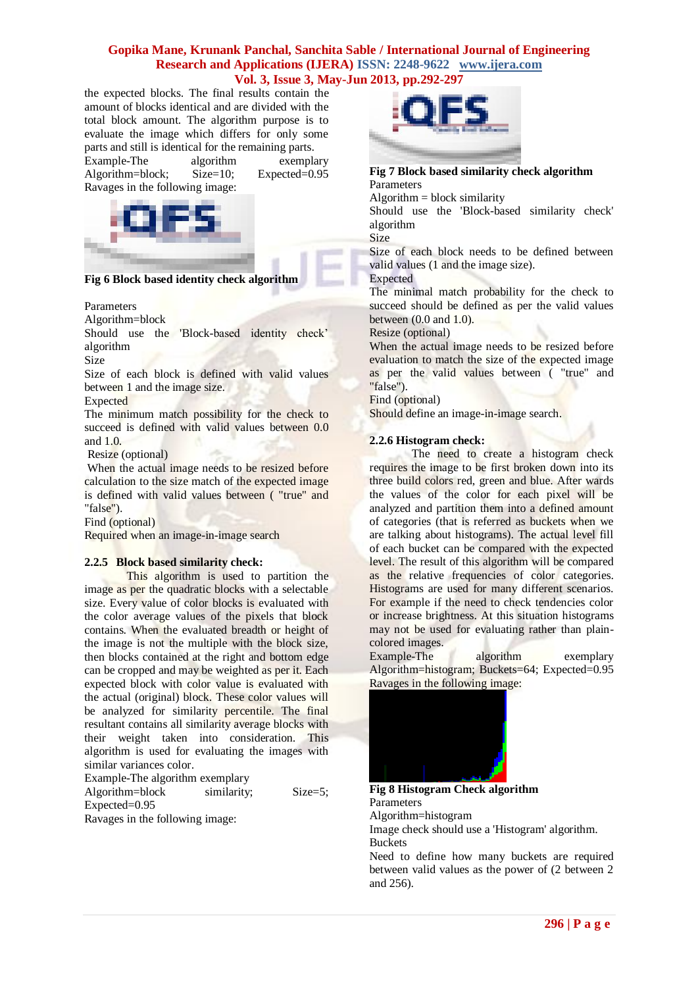the expected blocks. The final results contain the amount of blocks identical and are divided with the total block amount. The algorithm purpose is to evaluate the image which differs for only some parts and still is identical for the remaining parts.

Example-The algorithm exemplary Algorithm=block; Size=10; Expected=0.95 Ravages in the following image:



**Fig 6 Block based identity check algorithm**

#### Parameters

Algorithm=block

Should use the 'Block-based identity check" algorithm

Size

Size of each block is defined with valid values between 1 and the image size.

**Expected** 

The minimum match possibility for the check to succeed is defined with valid values between 0.0 and 1.0.

Resize (optional)

When the actual image needs to be resized before calculation to the size match of the expected image is defined with valid values between ( "true" and "false").

Find (optional)

Required when an image-in-image search

#### **2.2.5 Block based similarity check:**

This algorithm is used to partition the image as per the quadratic blocks with a selectable size. Every value of color blocks is evaluated with the color average values of the pixels that block contains. When the evaluated breadth or height of the image is not the multiple with the block size, then blocks contained at the right and bottom edge can be cropped and may be weighted as per it. Each expected block with color value is evaluated with the actual (original) block. These color values will be analyzed for similarity percentile. The final resultant contains all similarity average blocks with their weight taken into consideration. This algorithm is used for evaluating the images with similar variances color.

Example-The algorithm exemplary Algorithm=block similarity; Size=5;

Expected=0.95

Ravages in the following image:



**Fig 7 Block based similarity check algorithm Parameters** 

 $Algorithm = block similarity$ 

Should use the 'Block-based similarity check' algorithm Size

Size of each block needs to be defined between valid values (1 and the image size).

Expected

The minimal match probability for the check to succeed should be defined as per the valid values between (0.0 and 1.0).

Resize (optional)

When the actual image needs to be resized before evaluation to match the size of the expected image as per the valid values between ( "true" and "false").

Find (optional)

Should define an image-in-image search.

#### **2.2.6 Histogram check:**

The need to create a histogram check requires the image to be first broken down into its three build colors red, green and blue. After wards the values of the color for each pixel will be analyzed and partition them into a defined amount of categories (that is referred as buckets when we are talking about histograms). The actual level fill of each bucket can be compared with the expected level. The result of this algorithm will be compared as the relative frequencies of color categories. Histograms are used for many different scenarios. For example if the need to check tendencies color or increase brightness. At this situation histograms may not be used for evaluating rather than plaincolored images.

Example-The algorithm exemplary Algorithm=histogram; Buckets=64; Expected=0.95 Ravages in the following image:



**Fig 8 Histogram Check algorithm** Parameters Algorithm=histogram Image check should use a 'Histogram' algorithm. **Buckets** 

Need to define how many buckets are required between valid values as the power of (2 between 2 and 256).